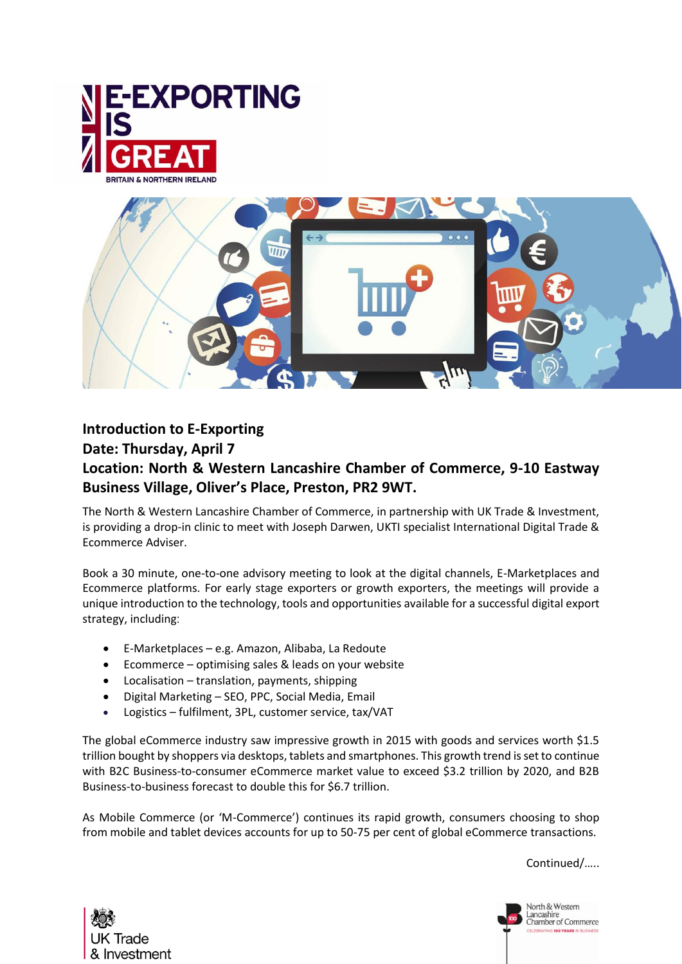



## **Introduction to E-Exporting Date: Thursday, April 7 Location: North & Western Lancashire Chamber of Commerce, 9-10 Eastway Business Village, Oliver's Place, Preston, PR2 9WT.**

The North & Western Lancashire Chamber of Commerce, in partnership with UK Trade & Investment, is providing a drop-in clinic to meet with Joseph Darwen, UKTI specialist International Digital Trade & Ecommerce Adviser.

Book a 30 minute, one-to-one advisory meeting to look at the digital channels, E-Marketplaces and Ecommerce platforms. For early stage exporters or growth exporters, the meetings will provide a unique introduction to the technology, tools and opportunities available for a successful digital export strategy, including:

- E-Marketplaces e.g. Amazon, Alibaba, La Redoute
- Ecommerce optimising sales & leads on your website
- Localisation translation, payments, shipping
- Digital Marketing SEO, PPC, Social Media, Email
- Logistics fulfilment, 3PL, customer service, tax/VAT

The global eCommerce industry saw impressive growth in 2015 with goods and services worth \$1.5 trillion bought by shoppers via desktops, tablets and smartphones. This growth trend is set to continue with B2C Business-to-consumer eCommerce market value to exceed \$3.2 trillion by 2020, and B2B Business-to-business forecast to double this for \$6.7 trillion.

As Mobile Commerce (or 'M-Commerce') continues its rapid growth, consumers choosing to shop from mobile and tablet devices accounts for up to 50-75 per cent of global eCommerce transactions.

Continued/…..